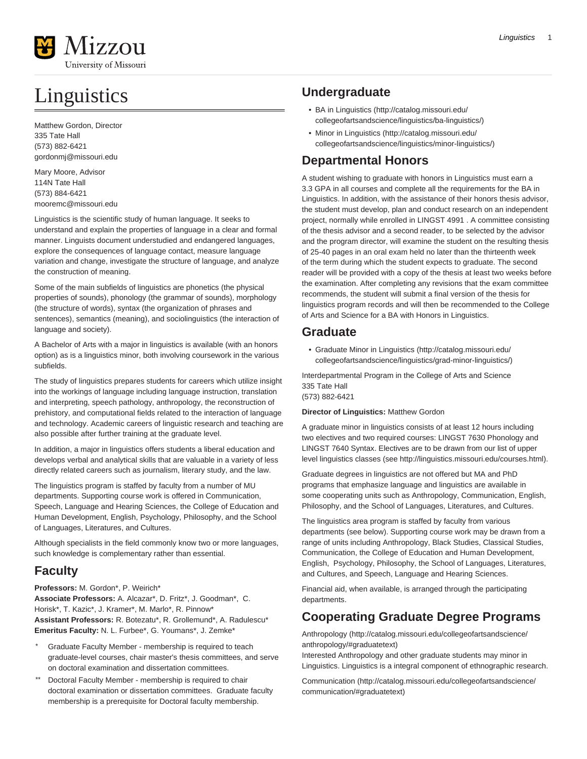

# Linguistics

Matthew Gordon, Director 335 Tate Hall (573) 882-6421 [gordonmj@missouri.edu](mailto:gordonmj@missouri.edu)

Mary Moore, Advisor 114N Tate Hall (573) 884-6421 [mooremc@missouri.edu](mailto:mooremc@missouri.edu)

Linguistics is the scientific study of human language. It seeks to understand and explain the properties of language in a clear and formal manner. Linguists document understudied and endangered languages, explore the consequences of language contact, measure language variation and change, investigate the structure of language, and analyze the construction of meaning.

Some of the main subfields of linguistics are phonetics (the physical properties of sounds), phonology (the grammar of sounds), morphology (the structure of words), syntax (the organization of phrases and sentences), semantics (meaning), and sociolinguistics (the interaction of language and society).

A Bachelor of Arts with a major in linguistics is available (with an honors option) as is a linguistics minor, both involving coursework in the various subfields.

The study of linguistics prepares students for careers which utilize insight into the workings of language including language instruction, translation and interpreting, speech pathology, anthropology, the reconstruction of prehistory, and computational fields related to the interaction of language and technology. Academic careers of linguistic research and teaching are also possible after further training at the graduate level.

In addition, a major in linguistics offers students a liberal education and develops verbal and analytical skills that are valuable in a variety of less directly related careers such as journalism, literary study, and the law.

The linguistics program is staffed by faculty from a number of MU departments. Supporting course work is offered in Communication, Speech, Language and Hearing Sciences, the College of Education and Human Development, English, Psychology, Philosophy, and the School of Languages, Literatures, and Cultures.

Although specialists in the field commonly know two or more languages, such knowledge is complementary rather than essential.

# **Faculty**

**Professors:** M. Gordon\*, P. Weirich\* **Associate Professors:** A. Alcazar\*, D. Fritz\*, J. Goodman\*, C. Horisk\*, T. Kazic\*, J. Kramer\*, M. Marlo\*, R. Pinnow\* **Assistant Professors:** R. Botezatu\*, R. Grollemund\*, A. Radulescu\* **Emeritus Faculty:** N. L. Furbee\*, G. Youmans\*, J. Zemke\*

- Graduate Faculty Member membership is required to teach graduate-level courses, chair master's thesis committees, and serve on doctoral examination and dissertation committees.
- \*\* Doctoral Faculty Member membership is required to chair doctoral examination or dissertation committees. Graduate faculty membership is a prerequisite for Doctoral faculty membership.

# **Undergraduate**

- [BA in Linguistics](http://catalog.missouri.edu/collegeofartsandscience/linguistics/ba-linguistics/) ([http://catalog.missouri.edu/](http://catalog.missouri.edu/collegeofartsandscience/linguistics/ba-linguistics/) [collegeofartsandscience/linguistics/ba-linguistics/](http://catalog.missouri.edu/collegeofartsandscience/linguistics/ba-linguistics/))
- [Minor in Linguistics](http://catalog.missouri.edu/collegeofartsandscience/linguistics/minor-linguistics/) ([http://catalog.missouri.edu/](http://catalog.missouri.edu/collegeofartsandscience/linguistics/minor-linguistics/) [collegeofartsandscience/linguistics/minor-linguistics/](http://catalog.missouri.edu/collegeofartsandscience/linguistics/minor-linguistics/))

# **Departmental Honors**

A student wishing to graduate with honors in Linguistics must earn a 3.3 GPA in all courses and complete all the requirements for the BA in Linguistics. In addition, with the assistance of their honors thesis advisor, the student must develop, plan and conduct research on an independent project, normally while enrolled in LINGST 4991 . A committee consisting of the thesis advisor and a second reader, to be selected by the advisor and the program director, will examine the student on the resulting thesis of 25-40 pages in an oral exam held no later than the thirteenth week of the term during which the student expects to graduate. The second reader will be provided with a copy of the thesis at least two weeks before the examination. After completing any revisions that the exam committee recommends, the student will submit a final version of the thesis for linguistics program records and will then be recommended to the College of Arts and Science for a BA with Honors in Linguistics.

# **Graduate**

• [Graduate Minor in Linguistics \(http://catalog.missouri.edu/](http://catalog.missouri.edu/collegeofartsandscience/linguistics/grad-minor-linguistics/) [collegeofartsandscience/linguistics/grad-minor-linguistics/](http://catalog.missouri.edu/collegeofartsandscience/linguistics/grad-minor-linguistics/))

Interdepartmental Program in the College of Arts and Science 335 Tate Hall (573) 882-6421

**Director of Linguistics:** Matthew Gordon

A graduate minor in linguistics consists of at least 12 hours including two electives and two required courses: LINGST 7630 Phonology and LINGST 7640 Syntax. Electives are to be drawn from our list of upper level linguistics classes (see<http://linguistics.missouri.edu/courses.html>).

Graduate degrees in linguistics are not offered but MA and PhD programs that emphasize language and linguistics are available in some cooperating units such as Anthropology, Communication, English, Philosophy, and the School of Languages, Literatures, and Cultures.

The linguistics area program is staffed by faculty from various departments (see below). Supporting course work may be drawn from a range of units including Anthropology, Black Studies, Classical Studies, Communication, the College of Education and Human Development, English, Psychology, Philosophy, the School of Languages, Literatures, and Cultures, and Speech, Language and Hearing Sciences.

Financial aid, when available, is arranged through the participating departments.

# **Cooperating Graduate Degree Programs**

[Anthropology](http://catalog.missouri.edu/collegeofartsandscience/anthropology/#graduatetext) [\(http://catalog.missouri.edu/collegeofartsandscience/](http://catalog.missouri.edu/collegeofartsandscience/anthropology/#graduatetext) [anthropology/#graduatetext](http://catalog.missouri.edu/collegeofartsandscience/anthropology/#graduatetext))

Interested Anthropology and other graduate students may minor in Linguistics. Linguistics is a integral component of ethnographic research.

[Communication \(http://catalog.missouri.edu/collegeofartsandscience/](http://catalog.missouri.edu/collegeofartsandscience/communication/#graduatetext) [communication/#graduatetext\)](http://catalog.missouri.edu/collegeofartsandscience/communication/#graduatetext)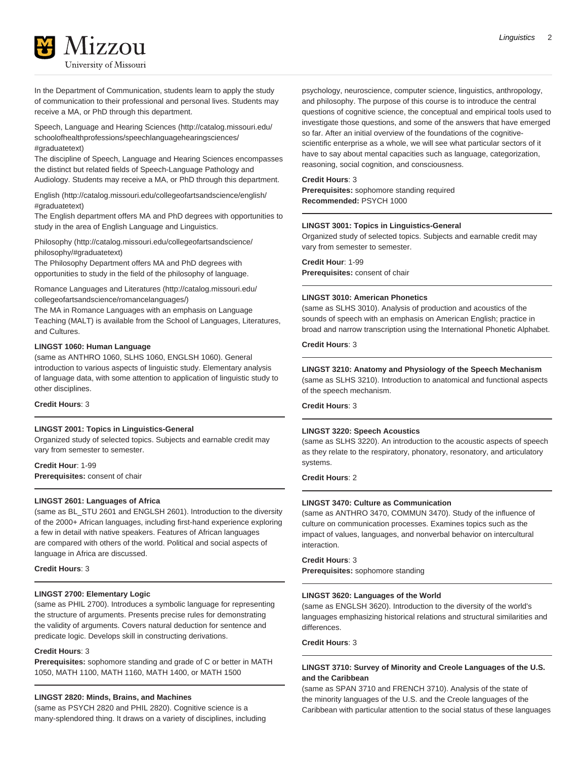In the Department of Communication, students learn to apply the study of communication to their professional and personal lives. Students may receive a MA, or PhD through this department.

[Speech, Language and Hearing Sciences](http://catalog.missouri.edu/schoolofhealthprofessions/speechlanguagehearingsciences/#graduatetext) ([http://catalog.missouri.edu/](http://catalog.missouri.edu/schoolofhealthprofessions/speechlanguagehearingsciences/#graduatetext) [schoolofhealthprofessions/speechlanguagehearingsciences/](http://catalog.missouri.edu/schoolofhealthprofessions/speechlanguagehearingsciences/#graduatetext) [#graduatetext\)](http://catalog.missouri.edu/schoolofhealthprofessions/speechlanguagehearingsciences/#graduatetext)

The discipline of Speech, Language and Hearing Sciences encompasses the distinct but related fields of Speech-Language Pathology and Audiology. Students may receive a MA, or PhD through this department.

[English](http://catalog.missouri.edu/collegeofartsandscience/english/#graduatetext) [\(http://catalog.missouri.edu/collegeofartsandscience/english/](http://catalog.missouri.edu/collegeofartsandscience/english/#graduatetext) [#graduatetext\)](http://catalog.missouri.edu/collegeofartsandscience/english/#graduatetext)

The English department offers MA and PhD degrees with opportunities to study in the area of English Language and Linguistics.

[Philosophy](http://catalog.missouri.edu/collegeofartsandscience/philosophy/#graduatetext) [\(http://catalog.missouri.edu/collegeofartsandscience/](http://catalog.missouri.edu/collegeofartsandscience/philosophy/#graduatetext) [philosophy/#graduatetext](http://catalog.missouri.edu/collegeofartsandscience/philosophy/#graduatetext))

The Philosophy Department offers MA and PhD degrees with opportunities to study in the field of the philosophy of language.

[Romance Languages and Literatures](http://catalog.missouri.edu/collegeofartsandscience/romancelanguages/) ([http://catalog.missouri.edu/](http://catalog.missouri.edu/collegeofartsandscience/romancelanguages/) [collegeofartsandscience/romancelanguages/](http://catalog.missouri.edu/collegeofartsandscience/romancelanguages/))

The MA in Romance Languages with an emphasis on Language Teaching (MALT) is available from the School of Languages, Literatures, and Cultures.

# **LINGST 1060: Human Language**

(same as ANTHRO 1060, SLHS 1060, ENGLSH 1060). General introduction to various aspects of linguistic study. Elementary analysis of language data, with some attention to application of linguistic study to other disciplines.

**Credit Hours**: 3

#### **LINGST 2001: Topics in Linguistics-General**

Organized study of selected topics. Subjects and earnable credit may vary from semester to semester.

**Credit Hour**: 1-99 **Prerequisites:** consent of chair

# **LINGST 2601: Languages of Africa**

(same as BL\_STU 2601 and ENGLSH 2601). Introduction to the diversity of the 2000+ African languages, including first-hand experience exploring a few in detail with native speakers. Features of African languages are compared with others of the world. Political and social aspects of language in Africa are discussed.

#### **Credit Hours**: 3

# **LINGST 2700: Elementary Logic**

(same as PHIL 2700). Introduces a symbolic language for representing the structure of arguments. Presents precise rules for demonstrating the validity of arguments. Covers natural deduction for sentence and predicate logic. Develops skill in constructing derivations.

#### **Credit Hours**: 3

**Prerequisites:** sophomore standing and grade of C or better in MATH 1050, MATH 1100, MATH 1160, MATH 1400, or MATH 1500

#### **LINGST 2820: Minds, Brains, and Machines**

(same as PSYCH 2820 and PHIL 2820). Cognitive science is a many-splendored thing. It draws on a variety of disciplines, including psychology, neuroscience, computer science, linguistics, anthropology, and philosophy. The purpose of this course is to introduce the central questions of cognitive science, the conceptual and empirical tools used to investigate those questions, and some of the answers that have emerged so far. After an initial overview of the foundations of the cognitivescientific enterprise as a whole, we will see what particular sectors of it have to say about mental capacities such as language, categorization, reasoning, social cognition, and consciousness.

# **Credit Hours**: 3

**Prerequisites:** sophomore standing required **Recommended:** PSYCH 1000

# **LINGST 3001: Topics in Linguistics-General**

Organized study of selected topics. Subjects and earnable credit may vary from semester to semester.

**Credit Hour**: 1-99

**Prerequisites:** consent of chair

#### **LINGST 3010: American Phonetics**

(same as SLHS 3010). Analysis of production and acoustics of the sounds of speech with an emphasis on American English; practice in broad and narrow transcription using the International Phonetic Alphabet.

**Credit Hours**: 3

# **LINGST 3210: Anatomy and Physiology of the Speech Mechanism**

(same as SLHS 3210). Introduction to anatomical and functional aspects of the speech mechanism.

# **Credit Hours**: 3

## **LINGST 3220: Speech Acoustics**

(same as SLHS 3220). An introduction to the acoustic aspects of speech as they relate to the respiratory, phonatory, resonatory, and articulatory systems.

**Credit Hours**: 2

# **LINGST 3470: Culture as Communication**

(same as ANTHRO 3470, COMMUN 3470). Study of the influence of culture on communication processes. Examines topics such as the impact of values, languages, and nonverbal behavior on intercultural interaction.

# **Credit Hours**: 3

**Prerequisites:** sophomore standing

## **LINGST 3620: Languages of the World**

(same as ENGLSH 3620). Introduction to the diversity of the world's languages emphasizing historical relations and structural similarities and differences.

**Credit Hours**: 3

# **LINGST 3710: Survey of Minority and Creole Languages of the U.S. and the Caribbean**

(same as SPAN 3710 and FRENCH 3710). Analysis of the state of the minority languages of the U.S. and the Creole languages of the Caribbean with particular attention to the social status of these languages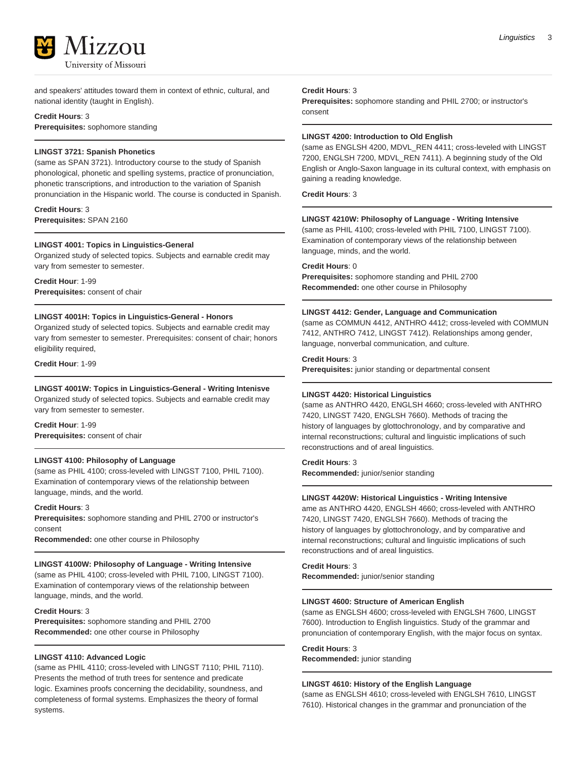

and speakers' attitudes toward them in context of ethnic, cultural, and national identity (taught in English).

# **Credit Hours**: 3

**Prerequisites:** sophomore standing

# **LINGST 3721: Spanish Phonetics**

(same as SPAN 3721). Introductory course to the study of Spanish phonological, phonetic and spelling systems, practice of pronunciation, phonetic transcriptions, and introduction to the variation of Spanish pronunciation in the Hispanic world. The course is conducted in Spanish.

**Credit Hours**: 3 **Prerequisites:** SPAN 2160

# **LINGST 4001: Topics in Linguistics-General**

Organized study of selected topics. Subjects and earnable credit may vary from semester to semester.

**Credit Hour**: 1-99 **Prerequisites:** consent of chair

# **LINGST 4001H: Topics in Linguistics-General - Honors**

Organized study of selected topics. Subjects and earnable credit may vary from semester to semester. Prerequisites: consent of chair; honors eligibility required,

**Credit Hour**: 1-99

# **LINGST 4001W: Topics in Linguistics-General - Writing Intenisve**

Organized study of selected topics. Subjects and earnable credit may vary from semester to semester.

**Credit Hour**: 1-99 **Prerequisites:** consent of chair

#### **LINGST 4100: Philosophy of Language**

(same as PHIL 4100; cross-leveled with LINGST 7100, PHIL 7100). Examination of contemporary views of the relationship between language, minds, and the world.

**Credit Hours**: 3

**Prerequisites:** sophomore standing and PHIL 2700 or instructor's consent

**Recommended:** one other course in Philosophy

# **LINGST 4100W: Philosophy of Language - Writing Intensive**

(same as PHIL 4100; cross-leveled with PHIL 7100, LINGST 7100). Examination of contemporary views of the relationship between language, minds, and the world.

# **Credit Hours**: 3

**Prerequisites:** sophomore standing and PHIL 2700 **Recommended:** one other course in Philosophy

# **LINGST 4110: Advanced Logic**

(same as PHIL 4110; cross-leveled with LINGST 7110; PHIL 7110). Presents the method of truth trees for sentence and predicate logic. Examines proofs concerning the decidability, soundness, and completeness of formal systems. Emphasizes the theory of formal systems.

#### **Credit Hours**: 3

**Prerequisites:** sophomore standing and PHIL 2700; or instructor's consent

# **LINGST 4200: Introduction to Old English**

(same as ENGLSH 4200, MDVL\_REN 4411; cross-leveled with LINGST 7200, ENGLSH 7200, MDVL\_REN 7411). A beginning study of the Old English or Anglo-Saxon language in its cultural context, with emphasis on gaining a reading knowledge.

**Credit Hours**: 3

# **LINGST 4210W: Philosophy of Language - Writing Intensive**

(same as PHIL 4100; cross-leveled with PHIL 7100, LINGST 7100). Examination of contemporary views of the relationship between language, minds, and the world.

# **Credit Hours**: 0

**Prerequisites:** sophomore standing and PHIL 2700 **Recommended:** one other course in Philosophy

## **LINGST 4412: Gender, Language and Communication**

(same as COMMUN 4412, ANTHRO 4412; cross-leveled with COMMUN 7412, ANTHRO 7412, LINGST 7412). Relationships among gender, language, nonverbal communication, and culture.

# **Credit Hours**: 3

**Prerequisites:** junior standing or departmental consent

# **LINGST 4420: Historical Linguistics**

(same as ANTHRO 4420, ENGLSH 4660; cross-leveled with ANTHRO 7420, LINGST 7420, ENGLSH 7660). Methods of tracing the history of languages by glottochronology, and by comparative and internal reconstructions; cultural and linguistic implications of such reconstructions and of areal linguistics.

# **Credit Hours**: 3

**Recommended:** junior/senior standing

#### **LINGST 4420W: Historical Linguistics - Writing Intensive**

ame as ANTHRO 4420, ENGLSH 4660; cross-leveled with ANTHRO 7420, LINGST 7420, ENGLSH 7660). Methods of tracing the history of languages by glottochronology, and by comparative and internal reconstructions; cultural and linguistic implications of such reconstructions and of areal linguistics.

**Credit Hours**: 3 **Recommended:** junior/senior standing

#### **LINGST 4600: Structure of American English**

(same as ENGLSH 4600; cross-leveled with ENGLSH 7600, LINGST 7600). Introduction to English linguistics. Study of the grammar and pronunciation of contemporary English, with the major focus on syntax.

# **Credit Hours**: 3

**Recommended:** junior standing

# **LINGST 4610: History of the English Language**

(same as ENGLSH 4610; cross-leveled with ENGLSH 7610, LINGST 7610). Historical changes in the grammar and pronunciation of the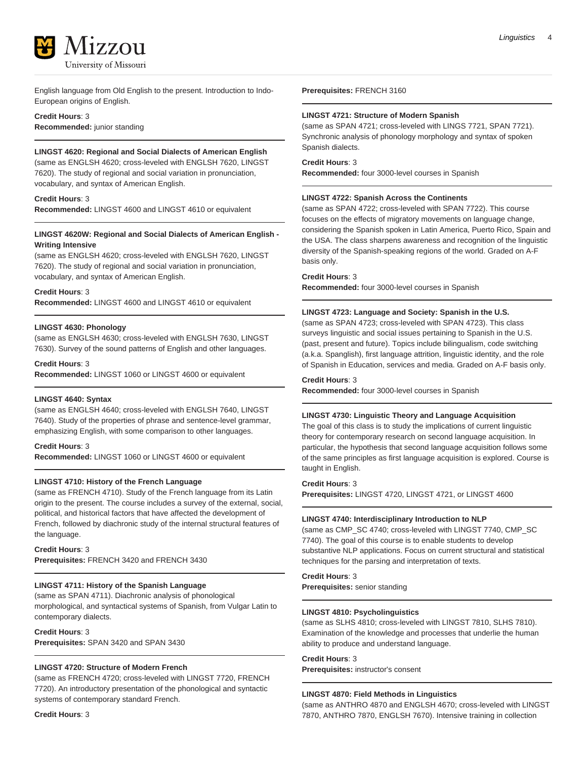

English language from Old English to the present. Introduction to Indo-European origins of English.

# **Credit Hours**: 3 **Recommended:** junior standing

# **LINGST 4620: Regional and Social Dialects of American English**

(same as ENGLSH 4620; cross-leveled with ENGLSH 7620, LINGST 7620). The study of regional and social variation in pronunciation, vocabulary, and syntax of American English.

# **Credit Hours**: 3

**Recommended:** LINGST 4600 and LINGST 4610 or equivalent

# **LINGST 4620W: Regional and Social Dialects of American English - Writing Intensive**

(same as ENGLSH 4620; cross-leveled with ENGLSH 7620, LINGST 7620). The study of regional and social variation in pronunciation, vocabulary, and syntax of American English.

# **Credit Hours**: 3

**Recommended:** LINGST 4600 and LINGST 4610 or equivalent

# **LINGST 4630: Phonology**

(same as ENGLSH 4630; cross-leveled with ENGLSH 7630, LINGST 7630). Survey of the sound patterns of English and other languages.

#### **Credit Hours**: 3

**Recommended:** LINGST 1060 or LINGST 4600 or equivalent

#### **LINGST 4640: Syntax**

(same as ENGLSH 4640; cross-leveled with ENGLSH 7640, LINGST 7640). Study of the properties of phrase and sentence-level grammar, emphasizing English, with some comparison to other languages.

# **Credit Hours**: 3

**Recommended:** LINGST 1060 or LINGST 4600 or equivalent

# **LINGST 4710: History of the French Language**

(same as FRENCH 4710). Study of the French language from its Latin origin to the present. The course includes a survey of the external, social, political, and historical factors that have affected the development of French, followed by diachronic study of the internal structural features of the language.

# **Credit Hours**: 3

**Prerequisites:** FRENCH 3420 and FRENCH 3430

# **LINGST 4711: History of the Spanish Language**

(same as SPAN 4711). Diachronic analysis of phonological morphological, and syntactical systems of Spanish, from Vulgar Latin to contemporary dialects.

## **Credit Hours**: 3

**Prerequisites:** SPAN 3420 and SPAN 3430

# **LINGST 4720: Structure of Modern French**

(same as FRENCH 4720; cross-leveled with LINGST 7720, FRENCH 7720). An introductory presentation of the phonological and syntactic systems of contemporary standard French.

**Credit Hours**: 3

#### **LINGST 4721: Structure of Modern Spanish**

(same as SPAN 4721; cross-leveled with LINGS 7721, SPAN 7721). Synchronic analysis of phonology morphology and syntax of spoken Spanish dialects.

# **Credit Hours**: 3

**Recommended:** four 3000-level courses in Spanish

#### **LINGST 4722: Spanish Across the Continents**

(same as SPAN 4722; cross-leveled with SPAN 7722). This course focuses on the effects of migratory movements on language change, considering the Spanish spoken in Latin America, Puerto Rico, Spain and the USA. The class sharpens awareness and recognition of the linguistic diversity of the Spanish-speaking regions of the world. Graded on A-F basis only.

#### **Credit Hours**: 3

**Recommended:** four 3000-level courses in Spanish

# **LINGST 4723: Language and Society: Spanish in the U.S.**

(same as SPAN 4723; cross-leveled with SPAN 4723). This class surveys linguistic and social issues pertaining to Spanish in the U.S. (past, present and future). Topics include bilingualism, code switching (a.k.a. Spanglish), first language attrition, linguistic identity, and the role of Spanish in Education, services and media. Graded on A-F basis only.

#### **Credit Hours**: 3

**Recommended:** four 3000-level courses in Spanish

# **LINGST 4730: Linguistic Theory and Language Acquisition**

The goal of this class is to study the implications of current linguistic theory for contemporary research on second language acquisition. In particular, the hypothesis that second language acquisition follows some of the same principles as first language acquisition is explored. Course is taught in English.

#### **Credit Hours**: 3

**Prerequisites:** LINGST 4720, LINGST 4721, or LINGST 4600

#### **LINGST 4740: Interdisciplinary Introduction to NLP**

(same as CMP\_SC 4740; cross-leveled with LINGST 7740, CMP\_SC 7740). The goal of this course is to enable students to develop substantive NLP applications. Focus on current structural and statistical techniques for the parsing and interpretation of texts.

# **Credit Hours**: 3

**Prerequisites:** senior standing

#### **LINGST 4810: Psycholinguistics**

(same as SLHS 4810; cross-leveled with LINGST 7810, SLHS 7810). Examination of the knowledge and processes that underlie the human ability to produce and understand language.

#### **Credit Hours**: 3

**Prerequisites:** instructor's consent

# **LINGST 4870: Field Methods in Linguistics**

(same as ANTHRO 4870 and ENGLSH 4670; cross-leveled with LINGST 7870, ANTHRO 7870, ENGLSH 7670). Intensive training in collection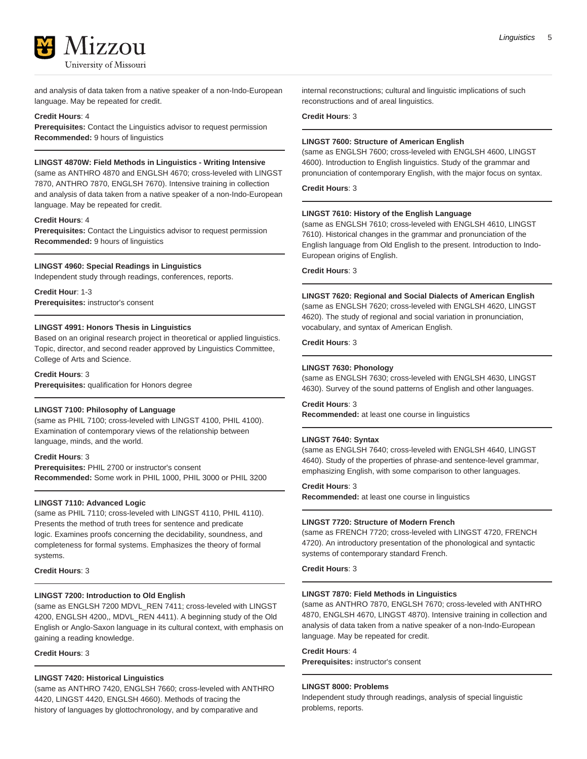

and analysis of data taken from a native speaker of a non-Indo-European language. May be repeated for credit.

# **Credit Hours**: 4

**Prerequisites:** Contact the Linguistics advisor to request permission **Recommended:** 9 hours of linguistics

# **LINGST 4870W: Field Methods in Linguistics - Writing Intensive**

(same as ANTHRO 4870 and ENGLSH 4670; cross-leveled with LINGST 7870, ANTHRO 7870, ENGLSH 7670). Intensive training in collection and analysis of data taken from a native speaker of a non-Indo-European language. May be repeated for credit.

#### **Credit Hours**: 4

**Prerequisites:** Contact the Linguistics advisor to request permission **Recommended:** 9 hours of linguistics

#### **LINGST 4960: Special Readings in Linguistics**

Independent study through readings, conferences, reports.

**Credit Hour**: 1-3 **Prerequisites:** instructor's consent

# **LINGST 4991: Honors Thesis in Linguistics**

Based on an original research project in theoretical or applied linguistics. Topic, director, and second reader approved by Linguistics Committee, College of Arts and Science.

# **Credit Hours**: 3

**Prerequisites:** qualification for Honors degree

# **LINGST 7100: Philosophy of Language**

(same as PHIL 7100; cross-leveled with LINGST 4100, PHIL 4100). Examination of contemporary views of the relationship between language, minds, and the world.

#### **Credit Hours**: 3

**Prerequisites:** PHIL 2700 or instructor's consent **Recommended:** Some work in PHIL 1000, PHIL 3000 or PHIL 3200

#### **LINGST 7110: Advanced Logic**

(same as PHIL 7110; cross-leveled with LINGST 4110, PHIL 4110). Presents the method of truth trees for sentence and predicate logic. Examines proofs concerning the decidability, soundness, and completeness for formal systems. Emphasizes the theory of formal systems.

### **Credit Hours**: 3

#### **LINGST 7200: Introduction to Old English**

(same as ENGLSH 7200 MDVL\_REN 7411; cross-leveled with LINGST 4200, ENGLSH 4200,, MDVL\_REN 4411). A beginning study of the Old English or Anglo-Saxon language in its cultural context, with emphasis on gaining a reading knowledge.

# **Credit Hours**: 3

# **LINGST 7420: Historical Linguistics**

(same as ANTHRO 7420, ENGLSH 7660; cross-leveled with ANTHRO 4420, LINGST 4420, ENGLSH 4660). Methods of tracing the history of languages by glottochronology, and by comparative and

internal reconstructions; cultural and linguistic implications of such reconstructions and of areal linguistics.

# **Credit Hours**: 3

# **LINGST 7600: Structure of American English**

(same as ENGLSH 7600; cross-leveled with ENGLSH 4600, LINGST 4600). Introduction to English linguistics. Study of the grammar and pronunciation of contemporary English, with the major focus on syntax.

**Credit Hours**: 3

#### **LINGST 7610: History of the English Language**

(same as ENGLSH 7610; cross-leveled with ENGLSH 4610, LINGST 7610). Historical changes in the grammar and pronunciation of the English language from Old English to the present. Introduction to Indo-European origins of English.

# **Credit Hours**: 3

#### **LINGST 7620: Regional and Social Dialects of American English**

(same as ENGLSH 7620; cross-leveled with ENGLSH 4620, LINGST 4620). The study of regional and social variation in pronunciation, vocabulary, and syntax of American English.

**Credit Hours**: 3

#### **LINGST 7630: Phonology**

(same as ENGLSH 7630; cross-leveled with ENGLSH 4630, LINGST 4630). Survey of the sound patterns of English and other languages.

# **Credit Hours**: 3

**Recommended:** at least one course in linguistics

#### **LINGST 7640: Syntax**

(same as ENGLSH 7640; cross-leveled with ENGLSH 4640, LINGST 4640). Study of the properties of phrase-and sentence-level grammar, emphasizing English, with some comparison to other languages.

#### **Credit Hours**: 3

**Recommended:** at least one course in linguistics

#### **LINGST 7720: Structure of Modern French**

(same as FRENCH 7720; cross-leveled with LINGST 4720, FRENCH 4720). An introductory presentation of the phonological and syntactic systems of contemporary standard French.

**Credit Hours**: 3

#### **LINGST 7870: Field Methods in Linguistics**

(same as ANTHRO 7870, ENGLSH 7670; cross-leveled with ANTHRO 4870, ENGLSH 4670, LINGST 4870). Intensive training in collection and analysis of data taken from a native speaker of a non-Indo-European language. May be repeated for credit.

# **Credit Hours**: 4

**Prerequisites:** instructor's consent

#### **LINGST 8000: Problems**

Independent study through readings, analysis of special linguistic problems, reports.